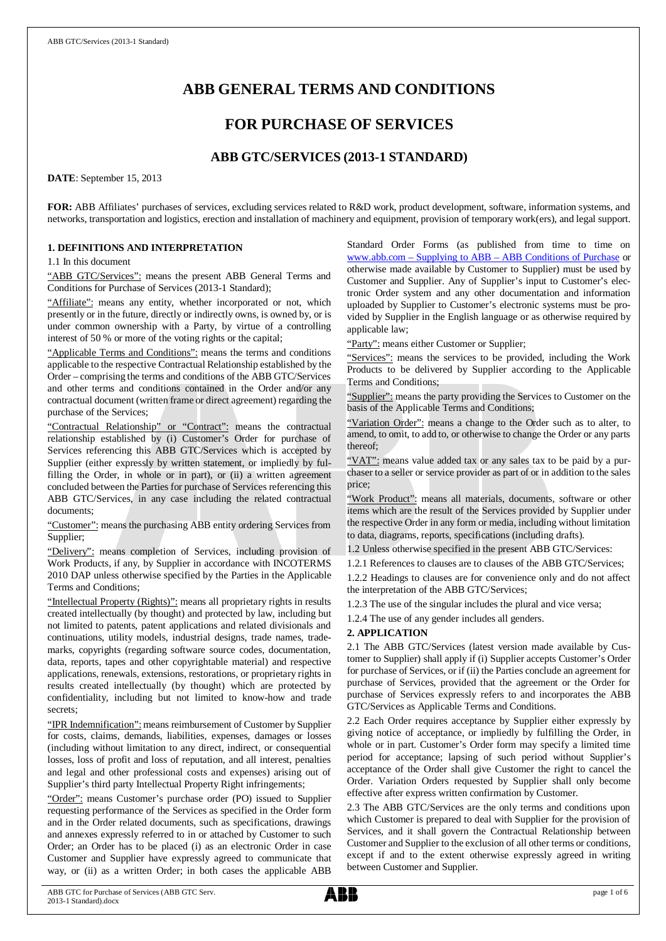# **ABB GENERAL TERMS AND CONDITIONS**

# **FOR PURCHASE OF SERVICES**

# **ABB GTC/SERVICES (2013-1 STANDARD)**

**DATE**: September 15, 2013

**FOR:** ABB Affiliates' purchases of services, excluding services related to R&D work, product development, software, information systems, and networks, transportation and logistics, erection and installation of machinery and equipment, provision of temporary work(ers), and legal support.

# **1. DEFINITIONS AND INTERPRETATION**

1.1 In this document

"ABB GTC/Services": means the present ABB General Terms and Conditions for Purchase of Services (2013-1 Standard);

"Affiliate": means any entity, whether incorporated or not, which presently or in the future, directly or indirectly owns, is owned by, or is under common ownership with a Party, by virtue of a controlling interest of 50 % or more of the voting rights or the capital;

"Applicable Terms and Conditions": means the terms and conditions applicable to the respective Contractual Relationship established by the Order – comprising the terms and conditions of the ABB GTC/Services and other terms and conditions contained in the Order and/or any contractual document (written frame or direct agreement) regarding the purchase of the Services;

"Contractual Relationship" or "Contract": means the contractual relationship established by (i) Customer's Order for purchase of Services referencing this ABB GTC/Services which is accepted by Supplier (either expressly by written statement, or impliedly by fulfilling the Order, in whole or in part), or (ii) a written agreement concluded between the Parties for purchase of Services referencing this ABB GTC/Services, in any case including the related contractual documents;

"Customer": means the purchasing ABB entity ordering Services from Supplier;

"Delivery": means completion of Services, including provision of Work Products, if any, by Supplier in accordance with INCOTERMS 2010 DAP unless otherwise specified by the Parties in the Applicable Terms and Conditions;

"Intellectual Property (Rights)": means all proprietary rights in results created intellectually (by thought) and protected by law, including but not limited to patents, patent applications and related divisionals and continuations, utility models, industrial designs, trade names, trademarks, copyrights (regarding software source codes, documentation, data, reports, tapes and other copyrightable material) and respective applications, renewals, extensions, restorations, or proprietary rights in results created intellectually (by thought) which are protected by confidentiality, including but not limited to know-how and trade secrets;

"IPR Indemnification": means reimbursement of Customer by Supplier for costs, claims, demands, liabilities, expenses, damages or losses (including without limitation to any direct, indirect, or consequential losses, loss of profit and loss of reputation, and all interest, penalties and legal and other professional costs and expenses) arising out of Supplier's third party Intellectual Property Right infringements;

"Order": means Customer's purchase order (PO) issued to Supplier requesting performance of the Services as specified in the Order form and in the Order related documents, such as specifications, drawings and annexes expressly referred to in or attached by Customer to such Order; an Order has to be placed (i) as an electronic Order in case Customer and Supplier have expressly agreed to communicate that way, or (ii) as a written Order; in both cases the applicable ABB Standard Order Forms (as published from time to time on [www.abb.com](http://www.abb.com/) – Supplying to ABB – ABB Conditions of Purchase or otherwise made available by Customer to Supplier) must be used by Customer and Supplier. Any of Supplier's input to Customer's electronic Order system and any other documentation and information uploaded by Supplier to Customer's electronic systems must be provided by Supplier in the English language or as otherwise required by applicable law;

"Party": means either Customer or Supplier;

"Services": means the services to be provided, including the Work Products to be delivered by Supplier according to the Applicable Terms and Conditions;

"Supplier": means the party providing the Services to Customer on the basis of the Applicable Terms and Conditions;

"Variation Order": means a change to the Order such as to alter, to amend, to omit, to add to, or otherwise to change the Order or any parts thereof;

"VAT": means value added tax or any sales tax to be paid by a purchaser to a seller or service provider as part of or in addition to the sales price;

"Work Product": means all materials, documents, software or other items which are the result of the Services provided by Supplier under the respective Order in any form or media, including without limitation to data, diagrams, reports, specifications (including drafts).

1.2 Unless otherwise specified in the present ABB GTC/Services:

1.2.1 References to clauses are to clauses of the ABB GTC/Services; 1.2.2 Headings to clauses are for convenience only and do not affect the interpretation of the ABB GTC/Services;

1.2.3 The use of the singular includes the plural and vice versa;

1.2.4 The use of any gender includes all genders.

#### **2. APPLICATION**

2.1 The ABB GTC/Services (latest version made available by Customer to Supplier) shall apply if (i) Supplier accepts Customer's Order for purchase of Services, or if (ii) the Parties conclude an agreement for purchase of Services, provided that the agreement or the Order for purchase of Services expressly refers to and incorporates the ABB GTC/Services as Applicable Terms and Conditions.

2.2 Each Order requires acceptance by Supplier either expressly by giving notice of acceptance, or impliedly by fulfilling the Order, in whole or in part. Customer's Order form may specify a limited time period for acceptance; lapsing of such period without Supplier's acceptance of the Order shall give Customer the right to cancel the Order. Variation Orders requested by Supplier shall only become effective after express written confirmation by Customer.

2.3 The ABB GTC/Services are the only terms and conditions upon which Customer is prepared to deal with Supplier for the provision of Services, and it shall govern the Contractual Relationship between Customer and Supplier to the exclusion of all other terms or conditions, except if and to the extent otherwise expressly agreed in writing between Customer and Supplier.

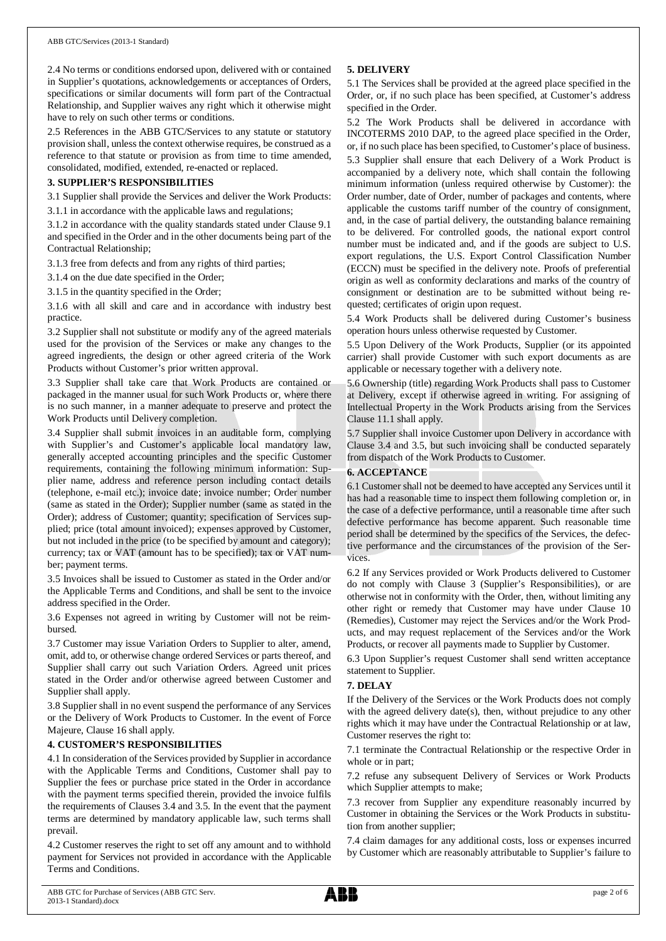2.4 No terms or conditions endorsed upon, delivered with or contained in Supplier's quotations, acknowledgements or acceptances of Orders, specifications or similar documents will form part of the Contractual Relationship, and Supplier waives any right which it otherwise might have to rely on such other terms or conditions.

2.5 References in the ABB GTC/Services to any statute or statutory provision shall, unless the context otherwise requires, be construed as a reference to that statute or provision as from time to time amended, consolidated, modified, extended, re-enacted or replaced.

#### **3. SUPPLIER'S RESPONSIBILITIES**

3.1 Supplier shall provide the Services and deliver the Work Products: 3.1.1 in accordance with the applicable laws and regulations;

3.1.2 in accordance with the quality standards stated under Clause 9.1 and specified in the Order and in the other documents being part of the

Contractual Relationship; 3.1.3 free from defects and from any rights of third parties;

3.1.4 on the due date specified in the Order;

3.1.5 in the quantity specified in the Order;

3.1.6 with all skill and care and in accordance with industry best practice.

3.2 Supplier shall not substitute or modify any of the agreed materials used for the provision of the Services or make any changes to the agreed ingredients, the design or other agreed criteria of the Work Products without Customer's prior written approval.

3.3 Supplier shall take care that Work Products are contained or packaged in the manner usual for such Work Products or, where there is no such manner, in a manner adequate to preserve and protect the Work Products until Delivery completion.

3.4 Supplier shall submit invoices in an auditable form, complying with Supplier's and Customer's applicable local mandatory law, generally accepted accounting principles and the specific Customer requirements, containing the following minimum information: Supplier name, address and reference person including contact details (telephone, e-mail etc.); invoice date; invoice number; Order number (same as stated in the Order); Supplier number (same as stated in the Order); address of Customer; quantity; specification of Services supplied; price (total amount invoiced); expenses approved by Customer, but not included in the price (to be specified by amount and category); currency; tax or VAT (amount has to be specified); tax or VAT number; payment terms.

3.5 Invoices shall be issued to Customer as stated in the Order and/or the Applicable Terms and Conditions, and shall be sent to the invoice address specified in the Order.

3.6 Expenses not agreed in writing by Customer will not be reimbursed.

3.7 Customer may issue Variation Orders to Supplier to alter, amend, omit, add to, or otherwise change ordered Services or parts thereof, and Supplier shall carry out such Variation Orders. Agreed unit prices stated in the Order and/or otherwise agreed between Customer and Supplier shall apply.

3.8 Supplier shall in no event suspend the performance of any Services or the Delivery of Work Products to Customer. In the event of Force Majeure, Clause 16 shall apply.

#### **4. CUSTOMER'S RESPONSIBILITIES**

4.1 In consideration of the Services provided by Supplier in accordance with the Applicable Terms and Conditions, Customer shall pay to Supplier the fees or purchase price stated in the Order in accordance with the payment terms specified therein, provided the invoice fulfils the requirements of Clauses 3.4 and 3.5. In the event that the payment terms are determined by mandatory applicable law, such terms shall prevail.

4.2 Customer reserves the right to set off any amount and to withhold payment for Services not provided in accordance with the Applicable Terms and Conditions.

# **5. DELIVERY**

5.1 The Services shall be provided at the agreed place specified in the Order, or, if no such place has been specified, at Customer's address specified in the Order.

5.2 The Work Products shall be delivered in accordance with INCOTERMS 2010 DAP, to the agreed place specified in the Order, or, if no such place has been specified, to Customer's place of business. 5.3 Supplier shall ensure that each Delivery of a Work Product is accompanied by a delivery note, which shall contain the following minimum information (unless required otherwise by Customer): the Order number, date of Order, number of packages and contents, where applicable the customs tariff number of the country of consignment, and, in the case of partial delivery, the outstanding balance remaining to be delivered. For controlled goods, the national export control number must be indicated and, and if the goods are subject to U.S. export regulations, the U.S. Export Control Classification Number (ECCN) must be specified in the delivery note. Proofs of preferential origin as well as conformity declarations and marks of the country of consignment or destination are to be submitted without being requested; certificates of origin upon request.

5.4 Work Products shall be delivered during Customer's business operation hours unless otherwise requested by Customer.

5.5 Upon Delivery of the Work Products, Supplier (or its appointed carrier) shall provide Customer with such export documents as are applicable or necessary together with a delivery note.

5.6 Ownership (title) regarding Work Products shall pass to Customer at Delivery, except if otherwise agreed in writing. For assigning of Intellectual Property in the Work Products arising from the Services Clause 11.1 shall apply.

5.7 Supplier shall invoice Customer upon Delivery in accordance with Clause 3.4 and 3.5, but such invoicing shall be conducted separately from dispatch of the Work Products to Customer.

#### **6. ACCEPTANCE**

6.1 Customer shall not be deemed to have accepted any Services until it has had a reasonable time to inspect them following completion or, in the case of a defective performance, until a reasonable time after such defective performance has become apparent. Such reasonable time period shall be determined by the specifics of the Services, the defective performance and the circumstances of the provision of the Services.

6.2 If any Services provided or Work Products delivered to Customer do not comply with Clause 3 (Supplier's Responsibilities), or are otherwise not in conformity with the Order, then, without limiting any other right or remedy that Customer may have under Clause 10 (Remedies), Customer may reject the Services and/or the Work Products, and may request replacement of the Services and/or the Work Products, or recover all payments made to Supplier by Customer.

6.3 Upon Supplier's request Customer shall send written acceptance statement to Supplier.

#### **7. DELAY**

If the Delivery of the Services or the Work Products does not comply with the agreed delivery date(s), then, without prejudice to any other rights which it may have under the Contractual Relationship or at law, Customer reserves the right to:

7.1 terminate the Contractual Relationship or the respective Order in whole or in part;

7.2 refuse any subsequent Delivery of Services or Work Products which Supplier attempts to make;

7.3 recover from Supplier any expenditure reasonably incurred by Customer in obtaining the Services or the Work Products in substitution from another supplier;

7.4 claim damages for any additional costs, loss or expenses incurred by Customer which are reasonably attributable to Supplier's failure to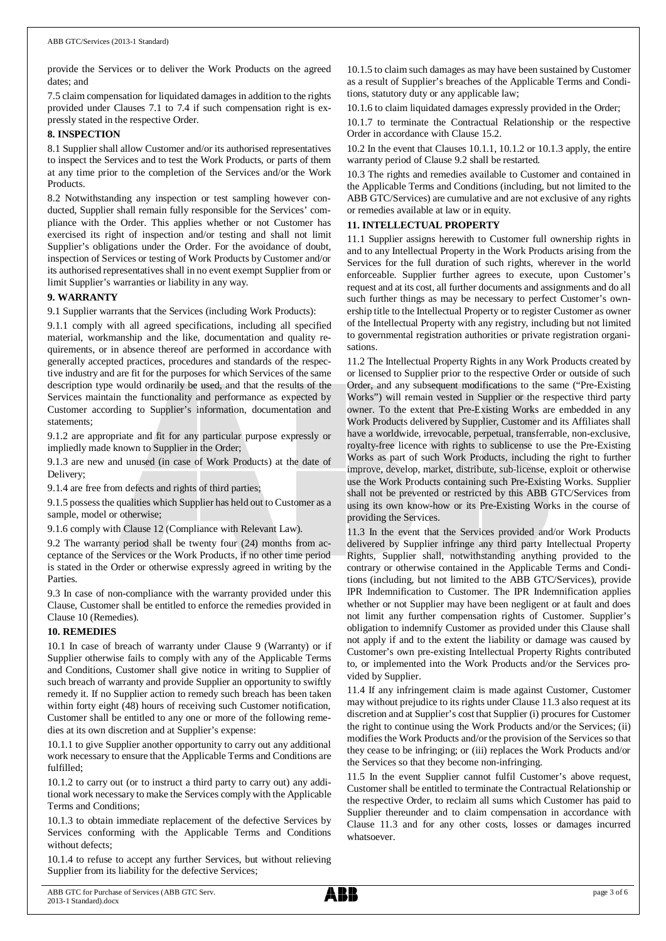provide the Services or to deliver the Work Products on the agreed dates; and

7.5 claim compensation for liquidated damages in addition to the rights provided under Clauses 7.1 to 7.4 if such compensation right is expressly stated in the respective Order.

#### **8. INSPECTION**

8.1 Supplier shall allow Customer and/or its authorised representatives to inspect the Services and to test the Work Products, or parts of them at any time prior to the completion of the Services and/or the Work Products.

8.2 Notwithstanding any inspection or test sampling however conducted, Supplier shall remain fully responsible for the Services' compliance with the Order. This applies whether or not Customer has exercised its right of inspection and/or testing and shall not limit Supplier's obligations under the Order. For the avoidance of doubt, inspection of Services or testing of Work Products by Customer and/or its authorised representatives shall in no event exempt Supplier from or limit Supplier's warranties or liability in any way.

#### **9. WARRANTY**

9.1 Supplier warrants that the Services (including Work Products):

9.1.1 comply with all agreed specifications, including all specified material, workmanship and the like, documentation and quality requirements, or in absence thereof are performed in accordance with generally accepted practices, procedures and standards of the respective industry and are fit for the purposes for which Services of the same description type would ordinarily be used, and that the results of the Services maintain the functionality and performance as expected by Customer according to Supplier's information, documentation and statements;

9.1.2 are appropriate and fit for any particular purpose expressly or impliedly made known to Supplier in the Order;

9.1.3 are new and unused (in case of Work Products) at the date of Delivery;

9.1.4 are free from defects and rights of third parties;

9.1.5 possess the qualities which Supplier has held out to Customer as a sample, model or otherwise;

9.1.6 comply with Clause 12 (Compliance with Relevant Law).

9.2 The warranty period shall be twenty four (24) months from acceptance of the Services or the Work Products, if no other time period is stated in the Order or otherwise expressly agreed in writing by the Parties.

9.3 In case of non-compliance with the warranty provided under this Clause, Customer shall be entitled to enforce the remedies provided in Clause 10 (Remedies).

#### **10. REMEDIES**

10.1 In case of breach of warranty under Clause 9 (Warranty) or if Supplier otherwise fails to comply with any of the Applicable Terms and Conditions, Customer shall give notice in writing to Supplier of such breach of warranty and provide Supplier an opportunity to swiftly remedy it. If no Supplier action to remedy such breach has been taken within forty eight (48) hours of receiving such Customer notification, Customer shall be entitled to any one or more of the following remedies at its own discretion and at Supplier's expense:

10.1.1 to give Supplier another opportunity to carry out any additional work necessary to ensure that the Applicable Terms and Conditions are fulfilled;

10.1.2 to carry out (or to instruct a third party to carry out) any additional work necessary to make the Services comply with the Applicable Terms and Conditions;

10.1.3 to obtain immediate replacement of the defective Services by Services conforming with the Applicable Terms and Conditions without defects;

10.1.4 to refuse to accept any further Services, but without relieving Supplier from its liability for the defective Services;

10.1.5 to claim such damages as may have been sustained by Customer as a result of Supplier's breaches of the Applicable Terms and Conditions, statutory duty or any applicable law;

10.1.6 to claim liquidated damages expressly provided in the Order;

10.1.7 to terminate the Contractual Relationship or the respective Order in accordance with Clause 15.2.

10.2 In the event that Clauses 10.1.1, 10.1.2 or 10.1.3 apply, the entire warranty period of Clause 9.2 shall be restarted.

10.3 The rights and remedies available to Customer and contained in the Applicable Terms and Conditions (including, but not limited to the ABB GTC/Services) are cumulative and are not exclusive of any rights or remedies available at law or in equity.

#### **11. INTELLECTUAL PROPERTY**

11.1 Supplier assigns herewith to Customer full ownership rights in and to any Intellectual Property in the Work Products arising from the Services for the full duration of such rights, wherever in the world enforceable. Supplier further agrees to execute, upon Customer's request and at its cost, all further documents and assignments and do all such further things as may be necessary to perfect Customer's ownership title to the Intellectual Property or to register Customer as owner of the Intellectual Property with any registry, including but not limited to governmental registration authorities or private registration organisations.

11.2 The Intellectual Property Rights in any Work Products created by or licensed to Supplier prior to the respective Order or outside of such Order, and any subsequent modifications to the same ("Pre-Existing Works") will remain vested in Supplier or the respective third party owner. To the extent that Pre-Existing Works are embedded in any Work Products delivered by Supplier, Customer and its Affiliates shall have a worldwide, irrevocable, perpetual, transferrable, non-exclusive, royalty-free licence with rights to sublicense to use the Pre-Existing Works as part of such Work Products, including the right to further improve, develop, market, distribute, sub-license, exploit or otherwise use the Work Products containing such Pre-Existing Works. Supplier shall not be prevented or restricted by this ABB GTC/Services from using its own know-how or its Pre-Existing Works in the course of providing the Services.

11.3 In the event that the Services provided and/or Work Products delivered by Supplier infringe any third party Intellectual Property Rights, Supplier shall, notwithstanding anything provided to the contrary or otherwise contained in the Applicable Terms and Conditions (including, but not limited to the ABB GTC/Services), provide IPR Indemnification to Customer. The IPR Indemnification applies whether or not Supplier may have been negligent or at fault and does not limit any further compensation rights of Customer. Supplier's obligation to indemnify Customer as provided under this Clause shall not apply if and to the extent the liability or damage was caused by Customer's own pre-existing Intellectual Property Rights contributed to, or implemented into the Work Products and/or the Services provided by Supplier.

11.4 If any infringement claim is made against Customer, Customer may without prejudice to its rights under Clause 11.3 also request at its discretion and at Supplier's cost that Supplier (i) procures for Customer the right to continue using the Work Products and/or the Services; (ii) modifies the Work Products and/or the provision of the Services so that they cease to be infringing; or (iii) replaces the Work Products and/or the Services so that they become non-infringing.

11.5 In the event Supplier cannot fulfil Customer's above request, Customer shall be entitled to terminate the Contractual Relationship or the respective Order, to reclaim all sums which Customer has paid to Supplier thereunder and to claim compensation in accordance with Clause 11.3 and for any other costs, losses or damages incurred whatsoever.

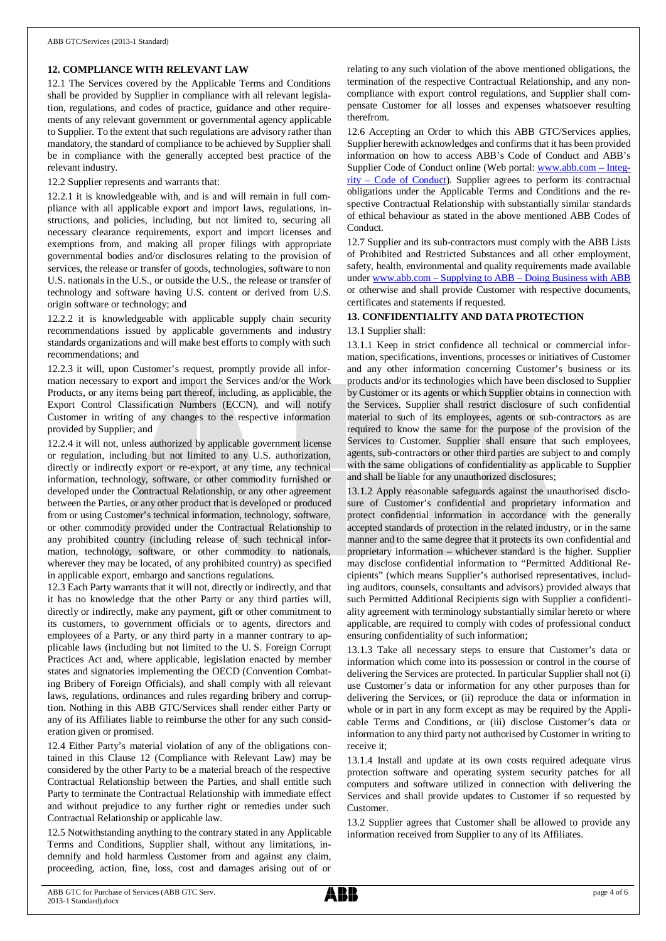# **12. COMPLIANCE WITH RELEVANT LAW**

12.1 The Services covered by the Applicable Terms and Conditions shall be provided by Supplier in compliance with all relevant legislation, regulations, and codes of practice, guidance and other requirements of any relevant government or governmental agency applicable to Supplier. To the extent that such regulations are advisory rather than mandatory, the standard of compliance to be achieved by Supplier shall be in compliance with the generally accepted best practice of the relevant industry.

12.2 Supplier represents and warrants that:

12.2.1 it is knowledgeable with, and is and will remain in full compliance with all applicable export and import laws, regulations, instructions, and policies, including, but not limited to, securing all necessary clearance requirements, export and import licenses and exemptions from, and making all proper filings with appropriate governmental bodies and/or disclosures relating to the provision of services, the release or transfer of goods, technologies, software to non U.S. nationals in the U.S., or outside the U.S., the release or transfer of technology and software having U.S. content or derived from U.S. origin software or technology; and

12.2.2 it is knowledgeable with applicable supply chain security recommendations issued by applicable governments and industry standards organizations and will make best efforts to comply with such recommendations; and

12.2.3 it will, upon Customer's request, promptly provide all information necessary to export and import the Services and/or the Work Products, or any items being part thereof, including, as applicable, the Export Control Classification Numbers (ECCN), and will notify Customer in writing of any changes to the respective information provided by Supplier; and

12.2.4 it will not, unless authorized by applicable government license or regulation, including but not limited to any U.S. authorization, directly or indirectly export or re-export, at any time, any technical information, technology, software, or other commodity furnished or developed under the Contractual Relationship, or any other agreement between the Parties, or any other product that is developed or produced from or using Customer's technical information, technology, software, or other commodity provided under the Contractual Relationship to any prohibited country (including release of such technical information, technology, software, or other commodity to nationals, wherever they may be located, of any prohibited country) as specified in applicable export, embargo and sanctions regulations.

12.3 Each Party warrants that it will not, directly or indirectly, and that it has no knowledge that the other Party or any third parties will, directly or indirectly, make any payment, gift or other commitment to its customers, to government officials or to agents, directors and employees of a Party, or any third party in a manner contrary to applicable laws (including but not limited to the U. S. Foreign Corrupt Practices Act and, where applicable, legislation enacted by member states and signatories implementing the OECD (Convention Combating Bribery of Foreign Officials), and shall comply with all relevant laws, regulations, ordinances and rules regarding bribery and corruption. Nothing in this ABB GTC/Services shall render either Party or any of its Affiliates liable to reimburse the other for any such consideration given or promised.

12.4 Either Party's material violation of any of the obligations contained in this Clause 12 (Compliance with Relevant Law) may be considered by the other Party to be a material breach of the respective Contractual Relationship between the Parties, and shall entitle such Party to terminate the Contractual Relationship with immediate effect and without prejudice to any further right or remedies under such Contractual Relationship or applicable law.

12.5 Notwithstanding anything to the contrary stated in any Applicable Terms and Conditions, Supplier shall, without any limitations, indemnify and hold harmless Customer from and against any claim, proceeding, action, fine, loss, cost and damages arising out of or

relating to any such violation of the above mentioned obligations, the termination of the respective Contractual Relationship, and any noncompliance with export control regulations, and Supplier shall compensate Customer for all losses and expenses whatsoever resulting therefrom.

12.6 Accepting an Order to which this ABB GTC/Services applies, Supplier herewith acknowledges and confirms that it has been provided information on how to access ABB's Code of Conduct and ABB's Supplier Code of Conduct online (Web portal: [www.abb.com](http://www.abb.com/) – Integrity – Code of Conduct). Supplier agrees to perform its contractual obligations under the Applicable Terms and Conditions and the respective Contractual Relationship with substantially similar standards of ethical behaviour as stated in the above mentioned ABB Codes of Conduct.

12.7 Supplier and its sub-contractors must comply with the ABB Lists of Prohibited and Restricted Substances and all other employment, safety, health, environmental and quality requirements made available under [www.abb.com](http://www.abb.com/) – Supplying to ABB – Doing Business with ABB or otherwise and shall provide Customer with respective documents, certificates and statements if requested.

# **13. CONFIDENTIALITY AND DATA PROTECTION**

#### 13.1 Supplier shall:

13.1.1 Keep in strict confidence all technical or commercial information, specifications, inventions, processes or initiatives of Customer and any other information concerning Customer's business or its products and/or its technologies which have been disclosed to Supplier by Customer or its agents or which Supplier obtains in connection with the Services. Supplier shall restrict disclosure of such confidential material to such of its employees, agents or sub-contractors as are required to know the same for the purpose of the provision of the Services to Customer. Supplier shall ensure that such employees, agents, sub-contractors or other third parties are subject to and comply with the same obligations of confidentiality as applicable to Supplier and shall be liable for any unauthorized disclosures;

13.1.2 Apply reasonable safeguards against the unauthorised disclosure of Customer's confidential and proprietary information and protect confidential information in accordance with the generally accepted standards of protection in the related industry, or in the same manner and to the same degree that it protects its own confidential and proprietary information – whichever standard is the higher. Supplier may disclose confidential information to "Permitted Additional Recipients" (which means Supplier's authorised representatives, including auditors, counsels, consultants and advisors) provided always that such Permitted Additional Recipients sign with Supplier a confidentiality agreement with terminology substantially similar hereto or where applicable, are required to comply with codes of professional conduct ensuring confidentiality of such information;

13.1.3 Take all necessary steps to ensure that Customer's data or information which come into its possession or control in the course of delivering the Services are protected. In particular Supplier shall not (i) use Customer's data or information for any other purposes than for delivering the Services, or (ii) reproduce the data or information in whole or in part in any form except as may be required by the Applicable Terms and Conditions, or (iii) disclose Customer's data or information to any third party not authorised by Customer in writing to receive it;

13.1.4 Install and update at its own costs required adequate virus protection software and operating system security patches for all computers and software utilized in connection with delivering the Services and shall provide updates to Customer if so requested by Customer.

13.2 Supplier agrees that Customer shall be allowed to provide any information received from Supplier to any of its Affiliates.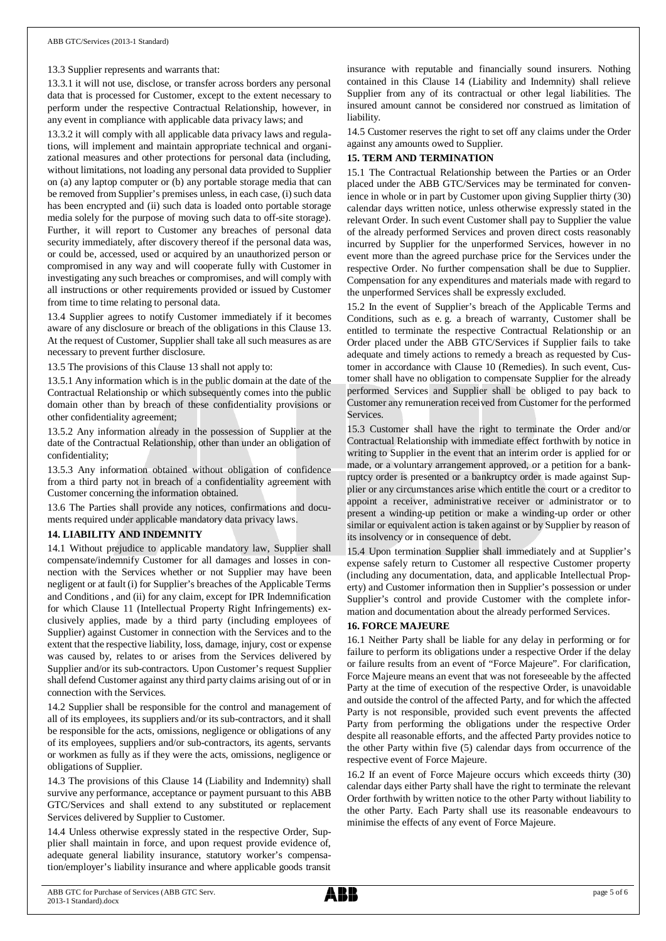#### 13.3 Supplier represents and warrants that:

13.3.1 it will not use, disclose, or transfer across borders any personal data that is processed for Customer, except to the extent necessary to perform under the respective Contractual Relationship, however, in any event in compliance with applicable data privacy laws; and

13.3.2 it will comply with all applicable data privacy laws and regulations, will implement and maintain appropriate technical and organizational measures and other protections for personal data (including, without limitations, not loading any personal data provided to Supplier on (a) any laptop computer or (b) any portable storage media that can be removed from Supplier's premises unless, in each case, (i) such data has been encrypted and (ii) such data is loaded onto portable storage media solely for the purpose of moving such data to off-site storage). Further, it will report to Customer any breaches of personal data security immediately, after discovery thereof if the personal data was, or could be, accessed, used or acquired by an unauthorized person or compromised in any way and will cooperate fully with Customer in investigating any such breaches or compromises, and will comply with all instructions or other requirements provided or issued by Customer from time to time relating to personal data.

13.4 Supplier agrees to notify Customer immediately if it becomes aware of any disclosure or breach of the obligations in this Clause 13. At the request of Customer, Supplier shall take all such measures as are necessary to prevent further disclosure.

13.5 The provisions of this Clause 13 shall not apply to:

13.5.1 Any information which is in the public domain at the date of the Contractual Relationship or which subsequently comes into the public domain other than by breach of these confidentiality provisions or other confidentiality agreement;

13.5.2 Any information already in the possession of Supplier at the date of the Contractual Relationship, other than under an obligation of confidentiality;

13.5.3 Any information obtained without obligation of confidence from a third party not in breach of a confidentiality agreement with Customer concerning the information obtained.

13.6 The Parties shall provide any notices, confirmations and documents required under applicable mandatory data privacy laws.

#### **14. LIABILITY AND INDEMNITY**

14.1 Without prejudice to applicable mandatory law, Supplier shall compensate/indemnify Customer for all damages and losses in connection with the Services whether or not Supplier may have been negligent or at fault (i) for Supplier's breaches of the Applicable Terms and Conditions , and (ii) for any claim, except for IPR Indemnification for which Clause 11 (Intellectual Property Right Infringements) exclusively applies, made by a third party (including employees of Supplier) against Customer in connection with the Services and to the extent that the respective liability, loss, damage, injury, cost or expense was caused by, relates to or arises from the Services delivered by Supplier and/or its sub-contractors. Upon Customer's request Supplier shall defend Customer against any third party claims arising out of or in connection with the Services.

14.2 Supplier shall be responsible for the control and management of all of its employees, its suppliers and/or its sub-contractors, and it shall be responsible for the acts, omissions, negligence or obligations of any of its employees, suppliers and/or sub-contractors, its agents, servants or workmen as fully as if they were the acts, omissions, negligence or obligations of Supplier.

14.3 The provisions of this Clause 14 (Liability and Indemnity) shall survive any performance, acceptance or payment pursuant to this ABB GTC/Services and shall extend to any substituted or replacement Services delivered by Supplier to Customer.

14.4 Unless otherwise expressly stated in the respective Order, Supplier shall maintain in force, and upon request provide evidence of, adequate general liability insurance, statutory worker's compensation/employer's liability insurance and where applicable goods transit

insurance with reputable and financially sound insurers. Nothing contained in this Clause 14 (Liability and Indemnity) shall relieve Supplier from any of its contractual or other legal liabilities. The insured amount cannot be considered nor construed as limitation of liability.

14.5 Customer reserves the right to set off any claims under the Order against any amounts owed to Supplier.

# **15. TERM AND TERMINATION**

15.1 The Contractual Relationship between the Parties or an Order placed under the ABB GTC/Services may be terminated for convenience in whole or in part by Customer upon giving Supplier thirty (30) calendar days written notice, unless otherwise expressly stated in the relevant Order. In such event Customer shall pay to Supplier the value of the already performed Services and proven direct costs reasonably incurred by Supplier for the unperformed Services, however in no event more than the agreed purchase price for the Services under the respective Order. No further compensation shall be due to Supplier. Compensation for any expenditures and materials made with regard to the unperformed Services shall be expressly excluded.

15.2 In the event of Supplier's breach of the Applicable Terms and Conditions, such as e. g. a breach of warranty, Customer shall be entitled to terminate the respective Contractual Relationship or an Order placed under the ABB GTC/Services if Supplier fails to take adequate and timely actions to remedy a breach as requested by Customer in accordance with Clause 10 (Remedies). In such event, Customer shall have no obligation to compensate Supplier for the already performed Services and Supplier shall be obliged to pay back to Customer any remuneration received from Customer for the performed **Services** 

15.3 Customer shall have the right to terminate the Order and/or Contractual Relationship with immediate effect forthwith by notice in writing to Supplier in the event that an interim order is applied for or made, or a voluntary arrangement approved, or a petition for a bankruptcy order is presented or a bankruptcy order is made against Supplier or any circumstances arise which entitle the court or a creditor to appoint a receiver, administrative receiver or administrator or to present a winding-up petition or make a winding-up order or other similar or equivalent action is taken against or by Supplier by reason of its insolvency or in consequence of debt.

15.4 Upon termination Supplier shall immediately and at Supplier's expense safely return to Customer all respective Customer property (including any documentation, data, and applicable Intellectual Property) and Customer information then in Supplier's possession or under Supplier's control and provide Customer with the complete information and documentation about the already performed Services.

#### **16. FORCE MAJEURE**

16.1 Neither Party shall be liable for any delay in performing or for failure to perform its obligations under a respective Order if the delay or failure results from an event of "Force Majeure". For clarification, Force Majeure means an event that was not foreseeable by the affected Party at the time of execution of the respective Order, is unavoidable and outside the control of the affected Party, and for which the affected Party is not responsible, provided such event prevents the affected Party from performing the obligations under the respective Order despite all reasonable efforts, and the affected Party provides notice to the other Party within five (5) calendar days from occurrence of the respective event of Force Majeure.

16.2 If an event of Force Majeure occurs which exceeds thirty (30) calendar days either Party shall have the right to terminate the relevant Order forthwith by written notice to the other Party without liability to the other Party. Each Party shall use its reasonable endeavours to minimise the effects of any event of Force Majeure.